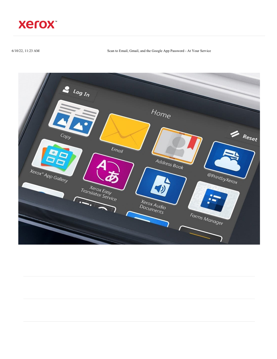

6/10/22, 11:23 AM Scan to Email, Gmail, and the Google App Password - At Your Service